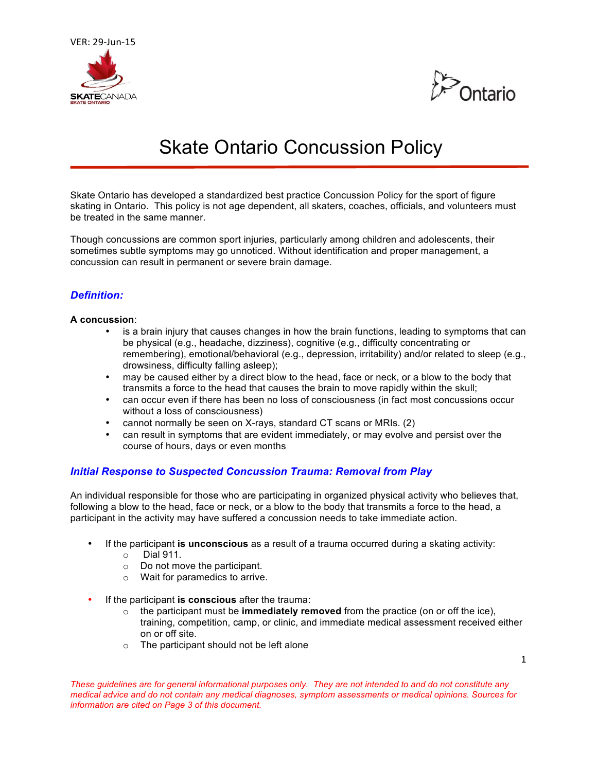



# Skate Ontario Concussion Policy

Skate Ontario has developed a standardized best practice Concussion Policy for the sport of figure skating in Ontario. This policy is not age dependent, all skaters, coaches, officials, and volunteers must be treated in the same manner.

Though concussions are common sport injuries, particularly among children and adolescents, their sometimes subtle symptoms may go unnoticed. Without identification and proper management, a concussion can result in permanent or severe brain damage.

# *Definition:*

#### **A concussion**:

- is a brain injury that causes changes in how the brain functions, leading to symptoms that can be physical (e.g., headache, dizziness), cognitive (e.g., difficulty concentrating or remembering), emotional/behavioral (e.g., depression, irritability) and/or related to sleep (e.g., drowsiness, difficulty falling asleep);
- may be caused either by a direct blow to the head, face or neck, or a blow to the body that transmits a force to the head that causes the brain to move rapidly within the skull;
- can occur even if there has been no loss of consciousness (in fact most concussions occur without a loss of consciousness)
- cannot normally be seen on X-rays, standard CT scans or MRIs. (2)
- can result in symptoms that are evident immediately, or may evolve and persist over the course of hours, days or even months

## *Initial Response to Suspected Concussion Trauma: Removal from Play*

An individual responsible for those who are participating in organized physical activity who believes that, following a blow to the head, face or neck, or a blow to the body that transmits a force to the head, a participant in the activity may have suffered a concussion needs to take immediate action.

- If the participant **is unconscious** as a result of a trauma occurred during a skating activity:
	- $\circ$  Dial 911.
	- o Do not move the participant.
	- o Wait for paramedics to arrive.
- If the participant **is conscious** after the trauma:
	- $\circ$  the participant must be **immediately removed** from the practice (on or off the ice), training, competition, camp, or clinic, and immediate medical assessment received either on or off site.
	- o The participant should not be left alone

*These guidelines are for general informational purposes only. They are not intended to and do not constitute any medical advice and do not contain any medical diagnoses, symptom assessments or medical opinions. Sources for information are cited on Page 3 of this document.*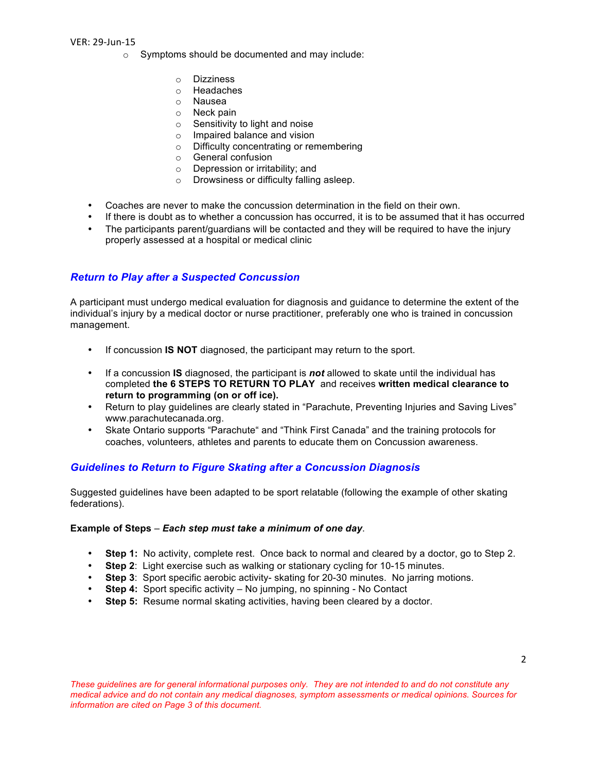VER: 29-Jun-15

- o Symptoms should be documented and may include:
	- o Dizziness
	- o Headaches
	- o Nausea
	- o Neck pain
	- o Sensitivity to light and noise
	- o Impaired balance and vision
	- o Difficulty concentrating or remembering
	- o General confusion
	- o Depression or irritability; and
	- o Drowsiness or difficulty falling asleep.
- Coaches are never to make the concussion determination in the field on their own.
- If there is doubt as to whether a concussion has occurred, it is to be assumed that it has occurred
- The participants parent/guardians will be contacted and they will be required to have the injury properly assessed at a hospital or medical clinic

## *Return to Play after a Suspected Concussion*

A participant must undergo medical evaluation for diagnosis and guidance to determine the extent of the individual's injury by a medical doctor or nurse practitioner, preferably one who is trained in concussion management.

- If concussion **IS NOT** diagnosed, the participant may return to the sport.
- If a concussion **IS** diagnosed, the participant is *not* allowed to skate until the individual has completed **the 6 STEPS TO RETURN TO PLAY** and receives **written medical clearance to return to programming (on or off ice).**
- Return to play guidelines are clearly stated in "Parachute, Preventing Injuries and Saving Lives" www.parachutecanada.org.
- Skate Ontario supports "Parachute" and "Think First Canada" and the training protocols for coaches, volunteers, athletes and parents to educate them on Concussion awareness.

## *Guidelines to Return to Figure Skating after a Concussion Diagnosis*

Suggested guidelines have been adapted to be sport relatable (following the example of other skating federations).

#### **Example of Steps** – *Each step must take a minimum of one day*.

- **Step 1:** No activity, complete rest. Once back to normal and cleared by a doctor, go to Step 2.
- **Step 2**: Light exercise such as walking or stationary cycling for 10-15 minutes.
- **Step 3**: Sport specific aerobic activity- skating for 20-30 minutes. No jarring motions.
- **Step 4:** Sport specific activity No jumping, no spinning No Contact
- **Step 5:** Resume normal skating activities, having been cleared by a doctor.